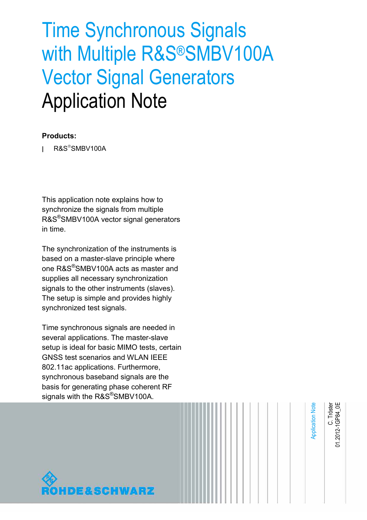# Time Synchronous Signals with Multiple R&S®SMBV100A Vector Signal Generators Application Note

### **Products:**

 $RAS^*SMBV100A$ 

This application note explains how to synchronize the signals from multiple R&S®SMBV100A vector signal generators in time.

The synchronization of the instruments is based on a master-slave principle where one R&S®SMBV100A acts as master and supplies all necessary synchronization signals to the other instruments (slaves). The setup is simple and provides highly synchronized test signals.

Time synchronous signals are needed in several applications. The master-slave setup is ideal for basic MIMO tests, certain GNSS test scenarios and WLAN IEEE 802.11ac applications. Furthermore, synchronous baseband signals are the basis for generating phase coherent RF signals with the R&S<sup>®</sup>SMBV100A.



Application Note **Application Note**  C. Tröster<br>01.2012-1GP84\_0E 01.2012-1GP84\_0E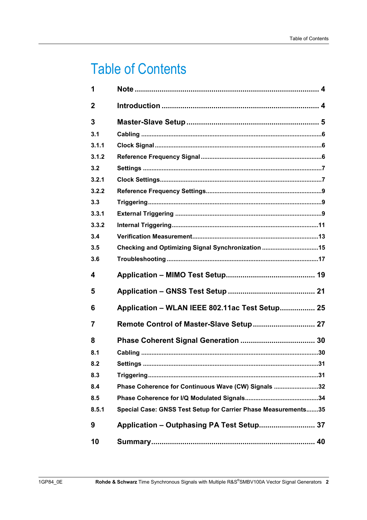# **Table of Contents**

| 1                       |                                                                |
|-------------------------|----------------------------------------------------------------|
| $\mathbf{2}$            |                                                                |
| 3                       |                                                                |
| 3.1                     |                                                                |
| 3.1.1                   |                                                                |
| 3.1.2                   |                                                                |
| 3.2                     |                                                                |
| 3.2.1                   |                                                                |
| 3.2.2                   |                                                                |
| 3.3                     |                                                                |
| 3.3.1                   |                                                                |
| 3.3.2                   |                                                                |
| 3.4                     |                                                                |
| 3.5                     | Checking and Optimizing Signal Synchronization 15              |
| 3.6                     |                                                                |
|                         |                                                                |
| $\overline{\mathbf{4}}$ |                                                                |
| 5                       |                                                                |
| 6                       | Application - WLAN IEEE 802.11ac Test Setup 25                 |
| $\overline{7}$          |                                                                |
| 8                       |                                                                |
| 8.1                     |                                                                |
| 8.2                     |                                                                |
| 8.3                     |                                                                |
| 8.4                     | Phase Coherence for Continuous Wave (CW) Signals 32            |
| 8.5                     |                                                                |
| 8.5.1                   |                                                                |
| 9                       | Special Case: GNSS Test Setup for Carrier Phase Measurements35 |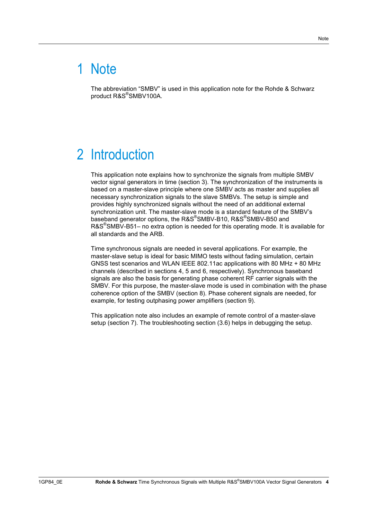# 1 Note

The abbreviation "SMBV" is used in this application note for the Rohde & Schwarz product R&S® SMBV100A.

# 2 Introduction

This application note explains how to synchronize the signals from multiple SMBV vector signal generators in time (section 3). The synchronization of the instruments is based on a master-slave principle where one SMBV acts as master and supplies all necessary synchronization signals to the slave SMBVs. The setup is simple and provides highly synchronized signals without the need of an additional external synchronization unit. The master-slave mode is a standard feature of the SMBV's baseband generator options, the R&S®SMBV-B10, R&S®SMBV-B50 and R&S<sup>®</sup>SMBV-B51– no extra option is needed for this operating mode. It is available for all standards and the ARB.

Time synchronous signals are needed in several applications. For example, the master-slave setup is ideal for basic MIMO tests without fading simulation, certain GNSS test scenarios and WLAN IEEE 802.11ac applications with 80 MHz + 80 MHz channels (described in sections 4, 5 and 6, respectively). Synchronous baseband signals are also the basis for generating phase coherent RF carrier signals with the SMBV. For this purpose, the master-slave mode is used in combination with the phase coherence option of the SMBV (section 8). Phase coherent signals are needed, for example, for testing outphasing power amplifiers (section 9).

This application note also includes an example of remote control of a master-slave setup (section 7). The troubleshooting section (3.6) helps in debugging the setup.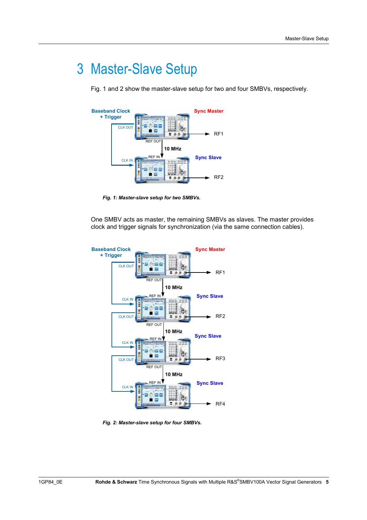# 3 Master-Slave Setup

Fig. 1 and 2 show the master-slave setup for two and four SMBVs, respectively.



*Fig. 1: Master-slave setup for two SMBVs.* 

One SMBV acts as master, the remaining SMBVs as slaves. The master provides clock and trigger signals for synchronization (via the same connection cables).



*Fig. 2: Master-slave setup for four SMBVs.*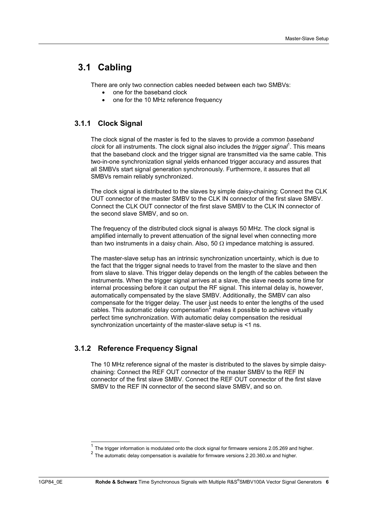## **3.1 Cabling**

There are only two connection cables needed between each two SMBVs:

- one for the baseband clock
- one for the 10 MHz reference frequency

### **3.1.1 Clock Signal**

The clock signal of the master is fed to the slaves to provide a *common baseband*  clock for all instruments. The clock signal also includes the *trigger signal*<sup>1</sup>. This means that the baseband clock and the trigger signal are transmitted via the same cable. This two-in-one synchronization signal yields enhanced trigger accuracy and assures that all SMBVs start signal generation synchronously. Furthermore, it assures that all SMBVs remain reliably synchronized.

The clock signal is distributed to the slaves by simple daisy-chaining: Connect the CLK OUT connector of the master SMBV to the CLK IN connector of the first slave SMBV. Connect the CLK OUT connector of the first slave SMBV to the CLK IN connector of the second slave SMBV, and so on.

The frequency of the distributed clock signal is always 50 MHz. The clock signal is amplified internally to prevent attenuation of the signal level when connecting more than two instruments in a daisy chain. Also, 50  $\Omega$  impedance matching is assured.

The master-slave setup has an intrinsic synchronization uncertainty, which is due to the fact that the trigger signal needs to travel from the master to the slave and then from slave to slave. This trigger delay depends on the length of the cables between the instruments. When the trigger signal arrives at a slave, the slave needs some time for internal processing before it can output the RF signal. This internal delay is, however, automatically compensated by the slave SMBV. Additionally, the SMBV can also compensate for the trigger delay. The user just needs to enter the lengths of the used cables. This automatic delay compensation<sup>2</sup> makes it possible to achieve virtually perfect time synchronization. With automatic delay compensation the residual synchronization uncertainty of the master-slave setup is <1 ns.

### **3.1.2 Reference Frequency Signal**

The 10 MHz reference signal of the master is distributed to the slaves by simple daisychaining: Connect the REF OUT connector of the master SMBV to the REF IN connector of the first slave SMBV. Connect the REF OUT connector of the first slave SMBV to the REF IN connector of the second slave SMBV, and so on.

The trigger information is modulated onto the clock signal for firmware versions 2.05.269 and higher.

<sup>&</sup>lt;sup>2</sup> The automatic delay compensation is available for firmware versions 2.20.360.xx and higher.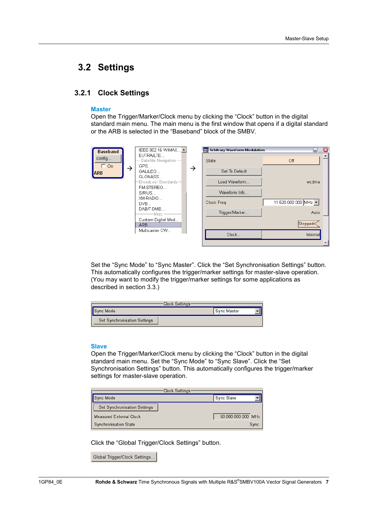### **3.2 Settings**

### **3.2.1 Clock Settings**

#### **Master**

Open the Trigger/Marker/Clock menu by clicking the "Clock" button in the digital standard main menu. The main menu is the first window that opens if a digital standard or the ARB is selected in the "Baseband" block of the SMBV.

| <b>Baseband</b>     | IEEE 802.16 WiMAX                         |   | Arbitrary Waveform Modulation | $\blacksquare$ $\blacksquare$      |
|---------------------|-------------------------------------------|---|-------------------------------|------------------------------------|
| config<br>$\Box$ On | EUTRA/LTE<br>Satellite Navigation-<br>GPS |   | State                         | Off                                |
| →<br><b>ARB</b>     | GALILEO                                   | → | Set To Default                |                                    |
|                     | GLONASS<br>Broadcast Standards -          |   | Load Waveform                 | wcdma                              |
|                     | FM-STEREO<br>SIRIUS                       |   | Waveform Info                 |                                    |
|                     | XM-RADIO<br>DVB                           |   | Clock Freq                    | 11.520 000 000 MHz $\vert$ $\star$ |
|                     | DAB/T-DMB<br>·Misc –                      |   | Trigger/Marker                | Auto                               |
|                     | Custom Digital Mod<br>ARB                 |   |                               | Stopped<                           |
|                     | Multicarrier CW                           |   | Clock                         | Internal                           |
|                     |                                           |   |                               |                                    |

Set the "Sync Mode" to "Sync Master". Click the "Set Synchronisation Settings" button. This automatically configures the trigger/marker settings for master-slave operation. (You may want to modify the trigger/marker settings for some applications as described in section 3.3.)

| <b>Clock Settings</b>               |                    |
|-------------------------------------|--------------------|
| Sync Mode                           | <b>Sync Master</b> |
| <b>Set Synchronisation Settings</b> |                    |

#### **Slave**

Open the Trigger/Marker/Clock menu by clicking the "Clock" button in the digital standard main menu. Set the "Sync Mode" to "Sync Slave". Click the "Set Synchronisation Settings" button. This automatically configures the trigger/marker settings for master-slave operation.

| Clock Settings<br>Sync Mode         | Sync Slave         |
|-------------------------------------|--------------------|
| <b>Set Synchronisation Settings</b> |                    |
| <b>Measured External Clock</b>      | 50.000 000 000 MHz |
| Synchronisation State               | Sync               |

Click the "Global Trigger/Clock Settings" button.

|  | Global Trigger/Clock Settings |  |
|--|-------------------------------|--|
|--|-------------------------------|--|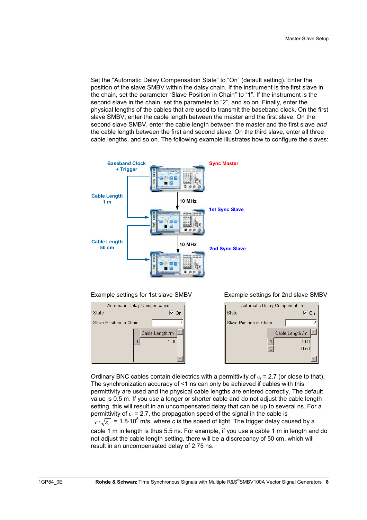Set the "Automatic Delay Compensation State" to "On" (default setting). Enter the position of the slave SMBV within the daisy chain. If the instrument is the first slave in the chain, set the parameter "Slave Position in Chain" to "1". If the instrument is the second slave in the chain, set the parameter to "2", and so on. Finally, enter the physical lengths of the cables that are used to transmit the baseband clock. On the first slave SMBV, enter the cable length between the master and the first slave. On the second slave SMBV, enter the cable length between the master and the first slave *and* the cable length between the first and second slave. On the third slave, enter all three cable lengths, and so on. The following example illustrates how to configure the slaves:





#### Example settings for 1st slave SMBV Example settings for 2nd slave SMBV



Ordinary BNC cables contain dielectrics with a permittivity of  $\varepsilon_r = 2.7$  (or close to that). The synchronization accuracy of <1 ns can only be achieved if cables with this permittivity are used and the physical cable lengths are entered correctly. The default value is 0.5 m. If you use a longer or shorter cable and do not adjust the cable length setting, this will result in an uncompensated delay that can be up to several ns. For a permittivity of  $\varepsilon_r = 2.7$ , the propagation speed of the signal in the cable is

 $r = r/\sqrt{\epsilon_0}$  = 1.8.10<sup>8</sup> m/s, where *c* is the speed of light. The trigger delay caused by a cable 1 m in length is thus 5.5 ns. For example, if you use a cable 1 m in length and do not adjust the cable length setting, there will be a discrepancy of 50 cm, which will result in an uncompensated delay of 2.75 ns.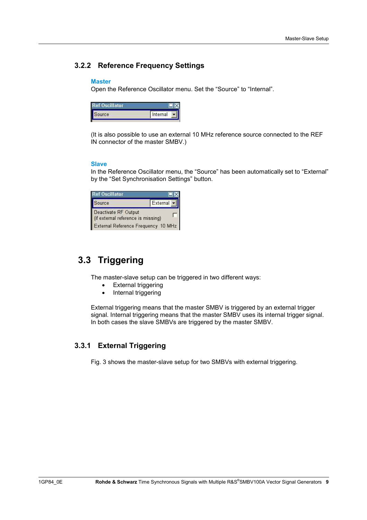### **3.2.2 Reference Frequency Settings**

#### **Master**

Open the Reference Oscillator menu. Set the "Source" to "Internal".

| İ<br>urce | Internal |
|-----------|----------|

(It is also possible to use an external 10 MHz reference source connected to the REF IN connector of the master SMBV.)

### **Slave**

In the Reference Oscillator menu, the "Source" has been automatically set to "External" by the "Set Synchronisation Settings" button.

| <b>Ref Oscillator</b>                                      |                                     |
|------------------------------------------------------------|-------------------------------------|
| Source                                                     | External                            |
| Deactivate RF Output<br>(if external reference is missing) |                                     |
|                                                            | External Reference Frequency 10 MHz |

## **3.3 Triggering**

The master-slave setup can be triggered in two different ways:

- External triggering
- Internal triggering

External triggering means that the master SMBV is triggered by an external trigger signal. Internal triggering means that the master SMBV uses its internal trigger signal. In both cases the slave SMBVs are triggered by the master SMBV.

### **3.3.1 External Triggering**

Fig. 3 shows the master-slave setup for two SMBVs with external triggering.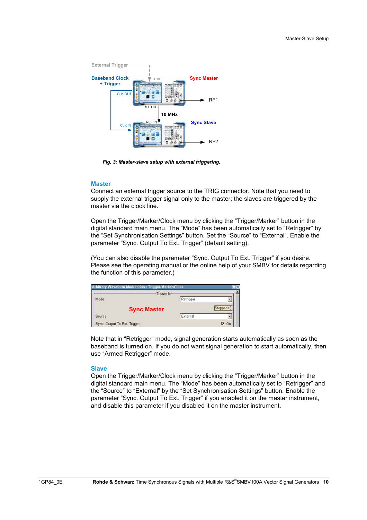

*Fig. 3: Master-slave setup with external triggering.* 

#### **Master**

Connect an external trigger source to the TRIG connector. Note that you need to supply the external trigger signal only to the master; the slaves are triggered by the master via the clock line.

Open the Trigger/Marker/Clock menu by clicking the "Trigger/Marker" button in the digital standard main menu. The "Mode" has been automatically set to "Retrigger" by the "Set Synchronisation Settings" button. Set the "Source" to "External". Enable the parameter "Sync. Output To Ext. Trigger" (default setting).

(You can also disable the parameter "Sync. Output To Ext. Trigger" if you desire. Please see the operating manual or the online help of your SMBV for details regarding the function of this parameter.)

|                              | Trigger In-        |           |    |
|------------------------------|--------------------|-----------|----|
| Mode                         |                    | Retrigger |    |
|                              | <b>Sync Master</b> |           |    |
| Source                       |                    | External  |    |
| Sync. Output To Ext. Trigger |                    |           | On |

Note that in "Retrigger" mode, signal generation starts automatically as soon as the baseband is turned on. If you do not want signal generation to start automatically, then use "Armed Retrigger" mode.

#### **Slave**

Open the Trigger/Marker/Clock menu by clicking the "Trigger/Marker" button in the digital standard main menu. The "Mode" has been automatically set to "Retrigger" and the "Source" to "External" by the "Set Synchronisation Settings" button. Enable the parameter "Sync. Output To Ext. Trigger" if you enabled it on the master instrument, and disable this parameter if you disabled it on the master instrument.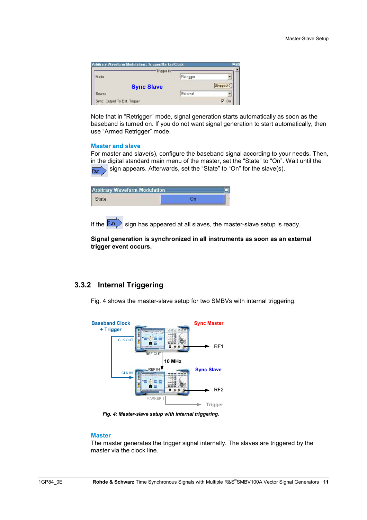|                                        | <b>Trigger In</b> |           |                |
|----------------------------------------|-------------------|-----------|----------------|
| Mode                                   |                   | Retrigger |                |
|                                        | <b>Sync Slave</b> |           |                |
| Source                                 |                   | External  |                |
| Source<br>Sync. Output To Ext. Trigger |                   |           | ⊽<br><b>On</b> |

Note that in "Retrigger" mode, signal generation starts automatically as soon as the baseband is turned on. If you do not want signal generation to start automatically, then use "Armed Retrigger" mode.

#### **Master and slave**

For master and slave(s), configure the baseband signal according to your needs. Then, in the digital standard main menu of the master, set the "State" to "On". Wait until the sign appears. Afterwards, set the "State" to "On" for the slave(s). Run

| <b>Arbitrary Waveform Modulation</b> |  |
|--------------------------------------|--|
|                                      |  |
|                                      |  |

If the  $\frac{Run}{I}$  sign has appeared at all slaves, the master-slave setup is ready.

**Signal generation is synchronized in all instruments as soon as an external trigger event occurs.** 

### **3.3.2 Internal Triggering**

Fig. 4 shows the master-slave setup for two SMBVs with internal triggering.



*Fig. 4: Master-slave setup with internal triggering.* 

#### **Master**

The master generates the trigger signal internally. The slaves are triggered by the master via the clock line.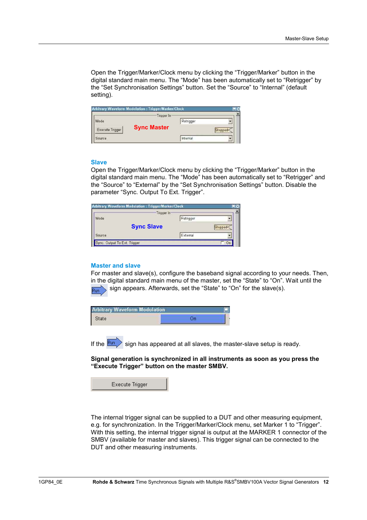Open the Trigger/Marker/Clock menu by clicking the "Trigger/Marker" button in the digital standard main menu. The "Mode" has been automatically set to "Retrigger" by the "Set Synchronisation Settings" button. Set the "Source" to "Internal" (default setting).

|                 | Trigger In:        |           |  |
|-----------------|--------------------|-----------|--|
| lode            |                    | Retrigger |  |
| Execute Trigger | <b>Sync Master</b> |           |  |
| ource           |                    |           |  |

#### **Slave**

Open the Trigger/Marker/Clock menu by clicking the "Trigger/Marker" button in the digital standard main menu. The "Mode" has been automatically set to "Retrigger" and the "Source" to "External" by the "Set Synchronisation Settings" button. Disable the parameter "Sync. Output To Ext. Trigger".

|      | Trigger In-       |           |  |
|------|-------------------|-----------|--|
| Mode |                   | Retrigger |  |
|      | <b>Sync Slave</b> |           |  |
|      |                   | External  |  |

#### **Master and slave**

For master and slave(s), configure the baseband signal according to your needs. Then, in the digital standard main menu of the master, set the "State" to "On". Wait until the sign appears. Afterwards, set the "State" to "On" for the slave(s). lRun

| <b>Arbitrary Waveform Modulation</b> |  |
|--------------------------------------|--|
| State                                |  |

If the  $\frac{Run}{I}$  sign has appeared at all slaves, the master-slave setup is ready.

**Signal generation is synchronized in all instruments as soon as you press the "Execute Trigger" button on the master SMBV.** 

Execute Trigger

The internal trigger signal can be supplied to a DUT and other measuring equipment, e.g. for synchronization. In the Trigger/Marker/Clock menu, set Marker 1 to "Trigger". With this setting, the internal trigger signal is output at the MARKER 1 connector of the SMBV (available for master and slaves). This trigger signal can be connected to the DUT and other measuring instruments.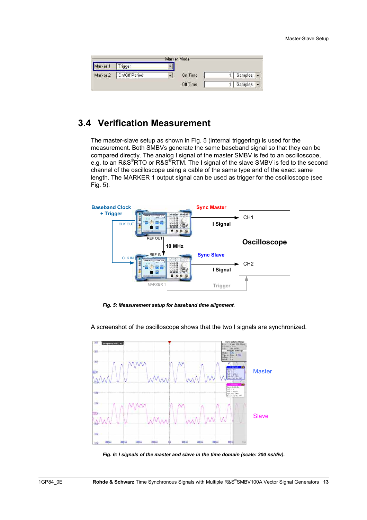|                      |               | Marker Mode |           |
|----------------------|---------------|-------------|-----------|
|                      | Trigger       |             |           |
| Marker 1<br>Marker 2 | On/Off Period | On Time     | Samples • |
|                      |               | Off Time    | Samples - |

### **3.4 Verification Measurement**

The master-slave setup as shown in Fig. 5 (internal triggering) is used for the measurement. Both SMBVs generate the same baseband signal so that they can be compared directly. The analog I signal of the master SMBV is fed to an oscilloscope, e.g. to an R&S®RTO or R&S®RTM. The I signal of the slave SMBV is fed to the second channel of the oscilloscope using a cable of the same type and of the exact same length. The MARKER 1 output signal can be used as trigger for the oscilloscope (see Fig. 5).



*Fig. 5: Measurement setup for baseband time alignment.* 

A screenshot of the oscilloscope shows that the two I signals are synchronized.



*Fig. 6: I signals of the master and slave in the time domain (scale: 200 ns/div).*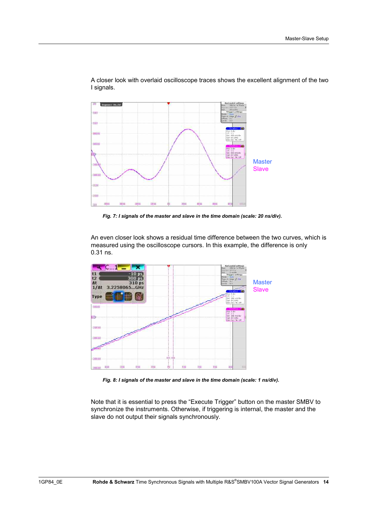

A closer look with overlaid oscilloscope traces shows the excellent alignment of the two I signals.

*Fig. 7: I signals of the master and slave in the time domain (scale: 20 ns/div).* 

An even closer look shows a residual time difference between the two curves, which is measured using the oscilloscope cursors. In this example, the difference is only 0.31 ns.



*Fig. 8: I signals of the master and slave in the time domain (scale: 1 ns/div).* 

Note that it is essential to press the "Execute Trigger" button on the master SMBV to synchronize the instruments. Otherwise, if triggering is internal, the master and the slave do not output their signals synchronously.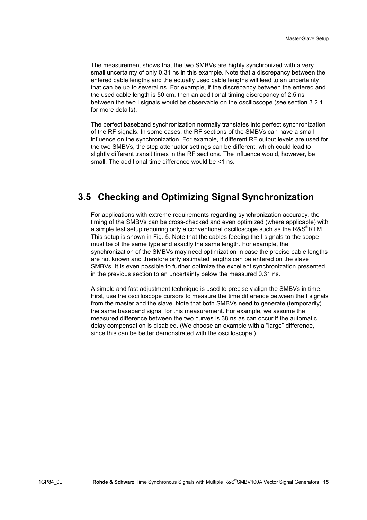The measurement shows that the two SMBVs are highly synchronized with a very small uncertainty of only 0.31 ns in this example. Note that a discrepancy between the entered cable lengths and the actually used cable lengths will lead to an uncertainty that can be up to several ns. For example, if the discrepancy between the entered and the used cable length is 50 cm, then an additional timing discrepancy of 2.5 ns between the two I signals would be observable on the oscilloscope (see section 3.2.1 for more details).

The perfect baseband synchronization normally translates into perfect synchronization of the RF signals. In some cases, the RF sections of the SMBVs can have a small influence on the synchronization. For example, if different RF output levels are used for the two SMBVs, the step attenuator settings can be different, which could lead to slightly different transit times in the RF sections. The influence would, however, be small. The additional time difference would be <1 ns.

### **3.5 Checking and Optimizing Signal Synchronization**

For applications with extreme requirements regarding synchronization accuracy, the timing of the SMBVs can be cross-checked and even optimized (where applicable) with a simple test setup requiring only a conventional oscilloscope such as the R&S®RTM. This setup is shown in Fig. 5. Note that the cables feeding the I signals to the scope must be of the same type and exactly the same length. For example, the synchronization of the SMBVs may need optimization in case the precise cable lengths are not known and therefore only estimated lengths can be entered on the slave SMBVs. It is even possible to further optimize the excellent synchronization presented in the previous section to an uncertainty below the measured 0.31 ns.

A simple and fast adjustment technique is used to precisely align the SMBVs in time. First, use the oscilloscope cursors to measure the time difference between the I signals from the master and the slave. Note that both SMBVs need to generate (temporarily) the same baseband signal for this measurement. For example, we assume the measured difference between the two curves is 38 ns as can occur if the automatic delay compensation is disabled. (We choose an example with a "large" difference, since this can be better demonstrated with the oscilloscope.)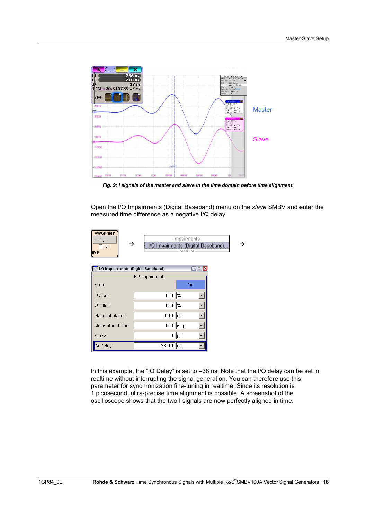

*Fig. 9: I signals of the master and slave in the time domain before time alignment.* 

Open the I/Q Impairments (Digital Baseband) menu on the *slave* SMBV and enter the measured time difference as a negative I/Q delay.



| I/Q Impairments (Digital Baseband) | $  x$          |      |
|------------------------------------|----------------|------|
| 'l/Q Impairments'                  |                |      |
| State                              |                | On   |
| I Offset                           | $0.00$ %       |      |
| Q Offset                           | $0.00\sqrt{8}$ |      |
| Gain Imbalance                     | $0.000$ dB     |      |
| Quadrature Offset                  | $0.00$ deg     |      |
| Skew                               |                | 0∥ps |
| IQ Delay                           | -38.000 ns     |      |

In this example, the "IQ Delay" is set to –38 ns. Note that the I/Q delay can be set in realtime without interrupting the signal generation. You can therefore use this parameter for synchronization fine-tuning in realtime. Since its resolution is 1 picosecond, ultra-precise time alignment is possible. A screenshot of the oscilloscope shows that the two I signals are now perfectly aligned in time.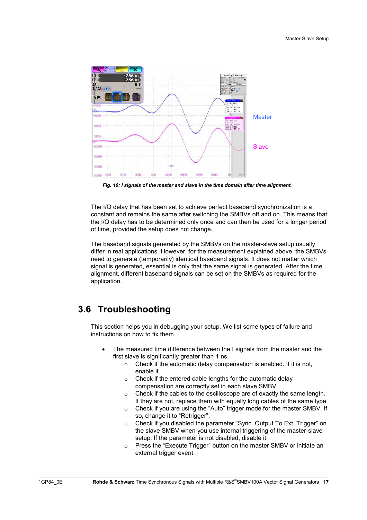

*Fig. 10: I signals of the master and slave in the time domain after time alignment.* 

The I/Q delay that has been set to achieve perfect baseband synchronization is a constant and remains the same after switching the SMBVs off and on. This means that the I/Q delay has to be determined only once and can then be used for a longer period of time, provided the setup does not change.

The baseband signals generated by the SMBVs on the master-slave setup usually differ in real applications. However, for the measurement explained above, the SMBVs need to generate (temporarily) identical baseband signals. It does not matter which signal is generated, essential is only that the same signal is generated. After the time alignment, different baseband signals can be set on the SMBVs as required for the application.

### **3.6 Troubleshooting**

This section helps you in debugging your setup. We list some types of failure and instructions on how to fix them

- The measured time difference between the I signals from the master and the first slave is significantly greater than 1 ns.
	- $\circ$  Check if the automatic delay compensation is enabled. If it is not, enable it.
	- o Check if the entered cable lengths for the automatic delay compensation are correctly set in each slave SMBV.
	- o Check if the cables to the oscilloscope are of exactly the same length. If they are not, replace them with equally long cables of the same type.
	- o Check if you are using the "Auto" trigger mode for the master SMBV. If so, change it to "Retrigger".
	- o Check if you disabled the parameter "Sync. Output To Ext. Trigger" on the slave SMBV when you use internal triggering of the master-slave setup. If the parameter is not disabled, disable it.
	- o Press the "Execute Trigger" button on the master SMBV or initiate an external trigger event.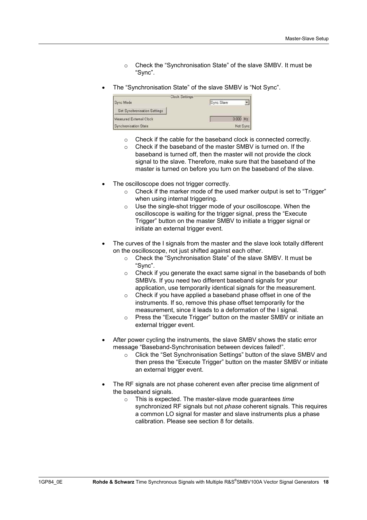- o Check the "Synchronisation State" of the slave SMBV. It must be "Sync".
- The "Synchronisation State" of the slave SMBV is "Not Sync".



- o Check if the cable for the baseband clock is connected correctly.
- o Check if the baseband of the master SMBV is turned on. If the baseband is turned off, then the master will not provide the clock signal to the slave. Therefore, make sure that the baseband of the master is turned on before you turn on the baseband of the slave.
- The oscilloscope does not trigger correctly.
	- o Check if the marker mode of the used marker output is set to "Trigger" when using internal triggering.
	- o Use the single-shot trigger mode of your oscilloscope. When the oscilloscope is waiting for the trigger signal, press the "Execute Trigger" button on the master SMBV to initiate a trigger signal or initiate an external trigger event.
- The curves of the I signals from the master and the slave look totally different on the oscilloscope, not just shifted against each other.
	- o Check the "Synchronisation State" of the slave SMBV. It must be "Sync".
	- o Check if you generate the exact same signal in the basebands of both SMBVs. If you need two different baseband signals for your application, use temporarily identical signals for the measurement.
	- o Check if you have applied a baseband phase offset in one of the instruments. If so, remove this phase offset temporarily for the measurement, since it leads to a deformation of the I signal.
	- o Press the "Execute Trigger" button on the master SMBV or initiate an external trigger event.
- After power cycling the instruments, the slave SMBV shows the static error message "Baseband-Synchronisation between devices failed!".
	- o Click the "Set Synchronisation Settings" button of the slave SMBV and then press the "Execute Trigger" button on the master SMBV or initiate an external trigger event.
- The RF signals are not phase coherent even after precise time alignment of the baseband signals.
	- o This is expected. The master-slave mode guarantees *time* synchronized RF signals but not *phase* coherent signals. This requires a common LO signal for master and slave instruments plus a phase calibration. Please see section 8 for details.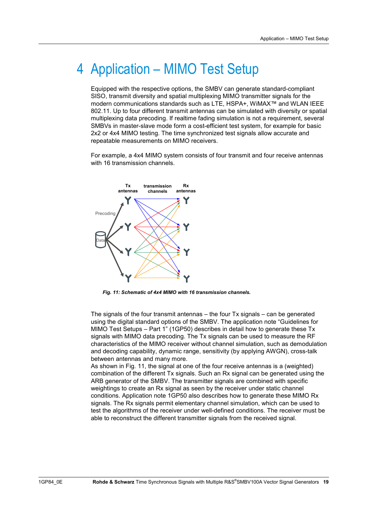# 4 Application – MIMO Test Setup

Equipped with the respective options, the SMBV can generate standard-compliant SISO, transmit diversity and spatial multiplexing MIMO transmitter signals for the modern communications standards such as LTE, HSPA+, WiMAX™ and WLAN IEEE 802.11. Up to four different transmit antennas can be simulated with diversity or spatial multiplexing data precoding. If realtime fading simulation is not a requirement, several SMBVs in master-slave mode form a cost-efficient test system, for example for basic 2x2 or 4x4 MIMO testing. The time synchronized test signals allow accurate and repeatable measurements on MIMO receivers.

For example, a 4x4 MIMO system consists of four transmit and four receive antennas with 16 transmission channels.



*Fig. 11: Schematic of 4x4 MIMO with 16 transmission channels.* 

The signals of the four transmit antennas – the four Tx signals – can be generated using the digital standard options of the SMBV. The application note "Guidelines for MIMO Test Setups – Part 1" (1GP50) describes in detail how to generate these Tx signals with MIMO data precoding. The Tx signals can be used to measure the RF characteristics of the MIMO receiver without channel simulation, such as demodulation and decoding capability, dynamic range, sensitivity (by applying AWGN), cross-talk between antennas and many more.

As shown in Fig. 11, the signal at one of the four receive antennas is a (weighted) combination of the different Tx signals. Such an Rx signal can be generated using the ARB generator of the SMBV. The transmitter signals are combined with specific weightings to create an Rx signal as seen by the receiver under static channel conditions. Application note 1GP50 also describes how to generate these MIMO Rx signals. The Rx signals permit elementary channel simulation, which can be used to test the algorithms of the receiver under well-defined conditions. The receiver must be able to reconstruct the different transmitter signals from the received signal.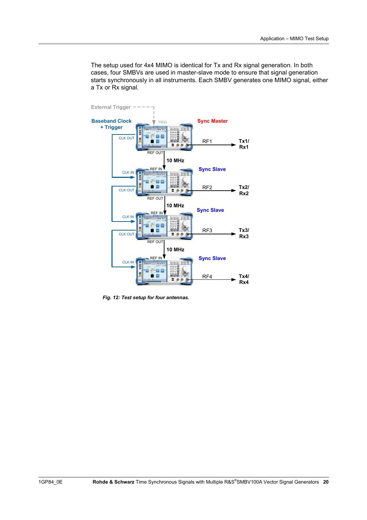The setup used for 4x4 MIMO is identical for Tx and Rx signal generation. In both cases, four SMBVs are used in master-slave mode to ensure that signal generation starts synchronously in all instruments. Each SMBV generates one MIMO signal, either a Tx or Rx signal.



*Fig. 12: Test setup for four antennas.*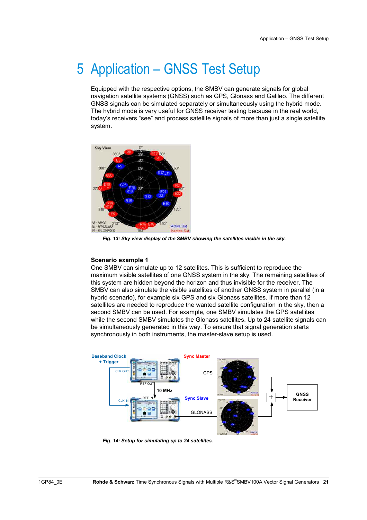# 5 Application – GNSS Test Setup

Equipped with the respective options, the SMBV can generate signals for global navigation satellite systems (GNSS) such as GPS, Glonass and Galileo. The different GNSS signals can be simulated separately or simultaneously using the hybrid mode. The hybrid mode is very useful for GNSS receiver testing because in the real world, today's receivers "see" and process satellite signals of more than just a single satellite system.



*Fig. 13: Sky view display of the SMBV showing the satellites visible in the sky.* 

#### **Scenario example 1**

One SMBV can simulate up to 12 satellites. This is sufficient to reproduce the maximum visible satellites of one GNSS system in the sky. The remaining satellites of this system are hidden beyond the horizon and thus invisible for the receiver. The SMBV can also simulate the visible satellites of another GNSS system in parallel (in a hybrid scenario), for example six GPS and six Glonass satellites. If more than 12 satellites are needed to reproduce the wanted satellite configuration in the sky, then a second SMBV can be used. For example, one SMBV simulates the GPS satellites while the second SMBV simulates the Glonass satellites. Up to 24 satellite signals can be simultaneously generated in this way. To ensure that signal generation starts synchronously in both instruments, the master-slave setup is used.



*Fig. 14: Setup for simulating up to 24 satellites.*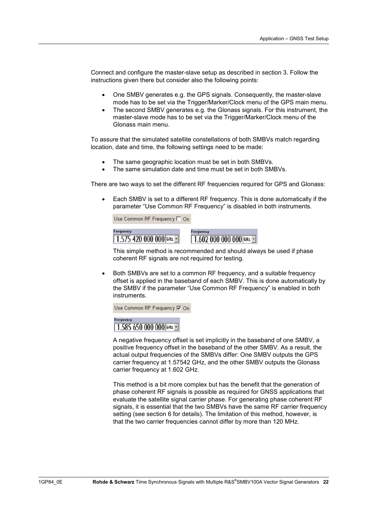Connect and configure the master-slave setup as described in section 3. Follow the instructions given there but consider also the following points:

- One SMBV generates e.g. the GPS signals. Consequently, the master-slave mode has to be set via the Trigger/Marker/Clock menu of the GPS main menu.
- The second SMBV generates e.g. the Glonass signals. For this instrument, the master-slave mode has to be set via the Trigger/Marker/Clock menu of the Glonass main menu.

To assure that the simulated satellite constellations of both SMBVs match regarding location, date and time, the following settings need to be made:

- The same geographic location must be set in both SMBVs.
- The same simulation date and time must be set in both SMBVs.

There are two ways to set the different RF frequencies required for GPS and Glonass:

• Each SMBV is set to a different RF frequency. This is done automatically if the parameter "Use Common RF Frequency" is disabled in both instruments.

Use Common RF Frequency F On



This simple method is recommended and should always be used if phase coherent RF signals are not required for testing.

• Both SMBVs are set to a common RF frequency, and a suitable frequency offset is applied in the baseband of each SMBV. This is done automatically by the SMBV if the parameter "Use Common RF Frequency" is enabled in both instruments.

Use Common RF Frequency 区 On



A negative frequency offset is set implicitly in the baseband of one SMBV, a positive frequency offset in the baseband of the other SMBV. As a result, the actual output frequencies of the SMBVs differ: One SMBV outputs the GPS carrier frequency at 1.57542 GHz, and the other SMBV outputs the Glonass carrier frequency at 1.602 GHz.

This method is a bit more complex but has the benefit that the generation of phase coherent RF signals is possible as required for GNSS applications that evaluate the satellite signal carrier phase. For generating phase coherent RF signals, it is essential that the two SMBVs have the same RF carrier frequency setting (see section 6 for details). The limitation of this method, however, is that the two carrier frequencies cannot differ by more than 120 MHz.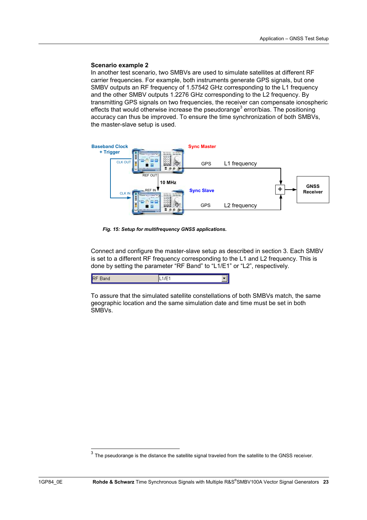#### **Scenario example 2**

In another test scenario, two SMBVs are used to simulate satellites at different RF carrier frequencies. For example, both instruments generate GPS signals, but one SMBV outputs an RF frequency of 1.57542 GHz corresponding to the L1 frequency and the other SMBV outputs 1.2276 GHz corresponding to the L2 frequency. By transmitting GPS signals on two frequencies, the receiver can compensate ionospheric effects that would otherwise increase the pseudorange<sup>3</sup> error/bias. The positioning accuracy can thus be improved. To ensure the time synchronization of both SMBVs, the master-slave setup is used.



*Fig. 15: Setup for multifrequency GNSS applications.* 

Connect and configure the master-slave setup as described in section 3. Each SMBV is set to a different RF frequency corresponding to the L1 and L2 frequency. This is done by setting the parameter "RF Band" to "L1/E1" or "L2", respectively.

| IR |
|----|
|----|

To assure that the simulated satellite constellations of both SMBVs match, the same geographic location and the same simulation date and time must be set in both SMBVs.

 $3$  The pseudorange is the distance the satellite signal traveled from the satellite to the GNSS receiver.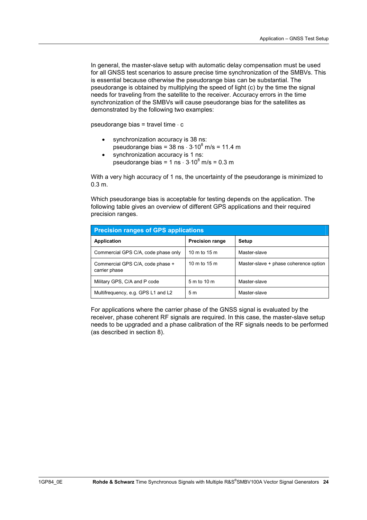In general, the master-slave setup with automatic delay compensation must be used for all GNSS test scenarios to assure precise time synchronization of the SMBVs. This is essential because otherwise the pseudorange bias can be substantial. The pseudorange is obtained by multiplying the speed of light (c) by the time the signal needs for traveling from the satellite to the receiver. Accuracy errors in the time synchronization of the SMBVs will cause pseudorange bias for the satellites as demonstrated by the following two examples:

pseudorange bias = travel time  $\cdot$  c

- synchronization accuracy is 38 ns: pseudorange bias =  $38 \text{ ns} \cdot 3.10^8 \text{ m/s} = 11.4 \text{ m}$
- synchronization accuracy is 1 ns: pseudorange bias =  $1 \text{ ns} \cdot 3.10^8 \text{ m/s} = 0.3 \text{ m}$

With a very high accuracy of 1 ns, the uncertainty of the pseudorange is minimized to 0.3 m.

Which pseudorange bias is acceptable for testing depends on the application. The following table gives an overview of different GPS applications and their required precision ranges.

| <b>Precision ranges of GPS applications</b>       |                        |                                       |  |  |
|---------------------------------------------------|------------------------|---------------------------------------|--|--|
| <b>Application</b>                                | <b>Precision range</b> | Setup                                 |  |  |
| Commercial GPS C/A, code phase only               | 10 m to 15 m           | Master-slave                          |  |  |
| Commercial GPS C/A, code phase +<br>carrier phase | 10 m to 15 m           | Master-slave + phase coherence option |  |  |
| Military GPS, C/A and P code                      | 5 m to 10 m            | Master-slave                          |  |  |
| Multifrequency, e.g. GPS L1 and L2                | 5 <sub>m</sub>         | Master-slave                          |  |  |

For applications where the carrier phase of the GNSS signal is evaluated by the receiver, phase coherent RF signals are required. In this case, the master-slave setup needs to be upgraded and a phase calibration of the RF signals needs to be performed (as described in section 8).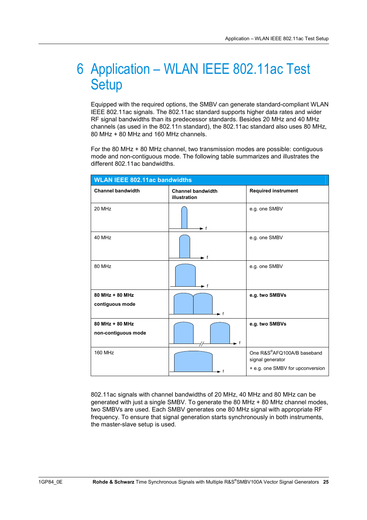## 6 Application – WLAN IEEE 802.11ac Test **Setup**

Equipped with the required options, the SMBV can generate standard-compliant WLAN IEEE 802.11ac signals. The 802.11ac standard supports higher data rates and wider RF signal bandwidths than its predecessor standards. Besides 20 MHz and 40 MHz channels (as used in the 802.11n standard), the 802.11ac standard also uses 80 MHz, 80 MHz + 80 MHz and 160 MHz channels.

For the 80 MHz + 80 MHz channel, two transmission modes are possible: contiguous mode and non-contiguous mode. The following table summarizes and illustrates the different 802.11ac bandwidths.

| <b>WLAN IEEE 802.11ac bandwidths</b>   |                                          |                                                                                    |  |  |
|----------------------------------------|------------------------------------------|------------------------------------------------------------------------------------|--|--|
| <b>Channel bandwidth</b>               | <b>Channel bandwidth</b><br>illustration | <b>Required instrument</b>                                                         |  |  |
| 20 MHz                                 | $\blacktriangleright$ f                  | e.g. one SMBV                                                                      |  |  |
| 40 MHz                                 | ► f                                      | e.g. one SMBV                                                                      |  |  |
| 80 MHz                                 | ►f                                       | e.g. one SMBV                                                                      |  |  |
| 80 MHz + 80 MHz<br>contiguous mode     | ► f                                      | e.g. two SMBVs                                                                     |  |  |
| 80 MHz + 80 MHz<br>non-contiguous mode | $\blacksquare$ f                         | e.g. two SMBVs                                                                     |  |  |
| <b>160 MHz</b>                         | f                                        | One R&S®AFQ100A/B baseband<br>signal generator<br>+ e.g. one SMBV for upconversion |  |  |

802.11ac signals with channel bandwidths of 20 MHz, 40 MHz and 80 MHz can be generated with just a single SMBV. To generate the 80 MHz + 80 MHz channel modes, two SMBVs are used. Each SMBV generates one 80 MHz signal with appropriate RF frequency. To ensure that signal generation starts synchronously in both instruments, the master-slave setup is used.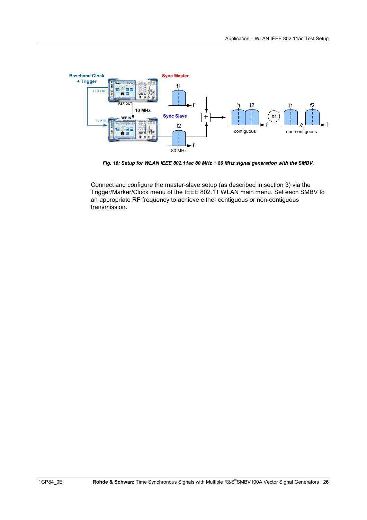

*Fig. 16: Setup for WLAN IEEE 802.11ac 80 MHz + 80 MHz signal generation with the SMBV.* 

Connect and configure the master-slave setup (as described in section 3) via the Trigger/Marker/Clock menu of the IEEE 802.11 WLAN main menu. Set each SMBV to an appropriate RF frequency to achieve either contiguous or non-contiguous transmission.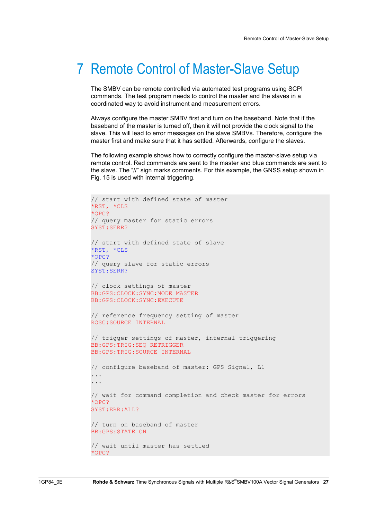## 7 Remote Control of Master-Slave Setup

The SMBV can be remote controlled via automated test programs using SCPI commands. The test program needs to control the master and the slaves in a coordinated way to avoid instrument and measurement errors.

Always configure the master SMBV first and turn on the baseband. Note that if the baseband of the master is turned off, then it will not provide the clock signal to the slave. This will lead to error messages on the slave SMBVs. Therefore, configure the master first and make sure that it has settled. Afterwards, configure the slaves.

The following example shows how to correctly configure the master-slave setup via remote control. Red commands are sent to the master and blue commands are sent to the slave. The "//" sign marks comments. For this example, the GNSS setup shown in Fig. 15 is used with internal triggering.

```
// start with defined state of master
*RST, *CLS
*OPC?
// query master for static errors 
SYST:SERR?
// start with defined state of slave
*RST, *CLS
*OPC?
// query slave for static errors 
SYST:SERR?
// clock settings of master
BB:GPS:CLOCK:SYNC:MODE MASTER
BB:GPS:CLOCK:SYNC:EXECUTE
// reference frequency setting of master
ROSC:SOURCE INTERNAL
// trigger settings of master, internal triggering
BB:GPS:TRIG:SEQ RETRIGGER
BB:GPS:TRIG:SOURCE INTERNAL
// configure baseband of master: GPS Signal, L1
... 
... 
// wait for command completion and check master for errors
*OPC?
SYST:ERR:ALL?
// turn on baseband of master
BB:GPS:STATE ON
// wait until master has settled
*OPC?
```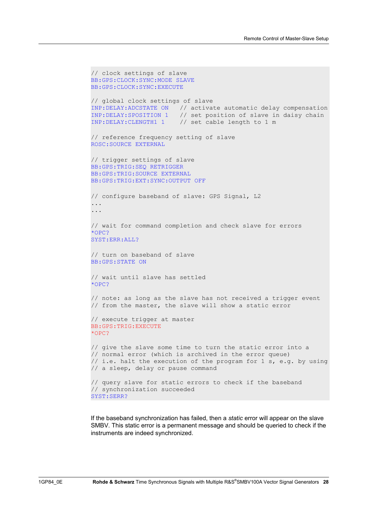```
// clock settings of slave
BB:GPS:CLOCK:SYNC:MODE SLAVE
BB:GPS:CLOCK:SYNC:EXECUTE
// global clock settings of slave 
INP:DELAY:ADCSTATE ON // activate automatic delay compensation 
INP: DELAY: SPOSITION 1 // set position of slave in daisy chain<br>INP: DELAY: CLENGTH1 1 // set cable length to 1 m
                        // set cable length to 1 m
// reference frequency setting of slave
ROSC:SOURCE EXTERNAL
// trigger settings of slave
BB:GPS:TRIG:SEQ RETRIGGER
BB:GPS:TRIG:SOURCE EXTERNAL
BB:GPS:TRIG:EXT:SYNC:OUTPUT OFF
// configure baseband of slave: GPS Signal, L2
... 
... 
// wait for command completion and check slave for errors
*OPC?
SYST:ERR:ALL?
// turn on baseband of slave
BB:GPS:STATE ON
// wait until slave has settled
*OPC? 
// note: as long as the slave has not received a trigger event 
// from the master, the slave will show a static error 
// execute trigger at master
BB:GPS:TRIG:EXECUTE 
*OPC? 
// give the slave some time to turn the static error into a 
// normal error (which is archived in the error queue) 
// i.e. halt the execution of the program for 1 s, e.g. by using 
// a sleep, delay or pause command 
// query slave for static errors to check if the baseband 
// synchronization succeeded
SYST:SERR?
```
If the baseband synchronization has failed, then a *static* error will appear on the slave SMBV. This static error is a permanent message and should be queried to check if the instruments are indeed synchronized.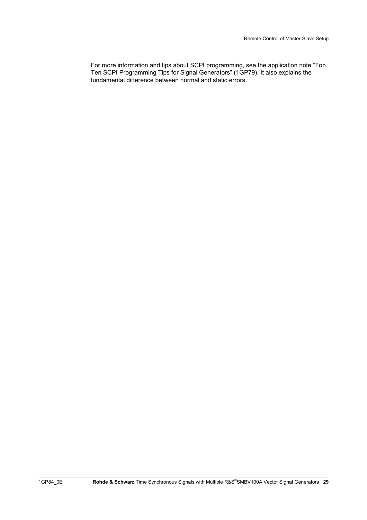For more information and tips about SCPI programming, see the application note "Top Ten SCPI Programming Tips for Signal Generators" (1GP79). It also explains the fundamental difference between normal and static errors.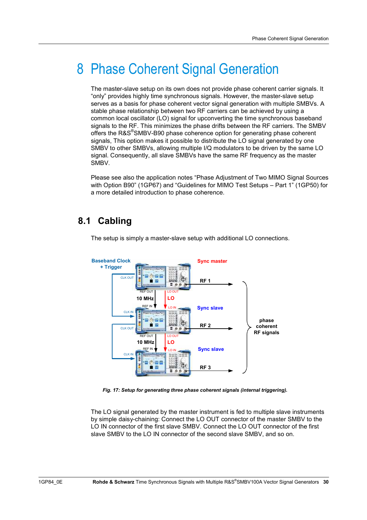# 8 Phase Coherent Signal Generation

The master-slave setup on its own does not provide phase coherent carrier signals. It "only" provides highly time synchronous signals. However, the master-slave setup serves as a basis for phase coherent vector signal generation with multiple SMBVs. A stable phase relationship between two RF carriers can be achieved by using a common local oscillator (LO) signal for upconverting the time synchronous baseband signals to the RF. This minimizes the phase drifts between the RF carriers. The SMBV offers the R&S®SMBV-B90 phase coherence option for generating phase coherent signals, This option makes it possible to distribute the LO signal generated by one SMBV to other SMBVs, allowing multiple I/Q modulators to be driven by the same LO signal. Consequently, all slave SMBVs have the same RF frequency as the master SMBV.

Please see also the application notes "Phase Adjustment of Two MIMO Signal Sources with Option B90" (1GP67) and "Guidelines for MIMO Test Setups – Part 1" (1GP50) for a more detailed introduction to phase coherence.

## **8.1 Cabling**



The setup is simply a master-slave setup with additional LO connections.

*Fig. 17: Setup for generating three phase coherent signals (internal triggering).* 

The LO signal generated by the master instrument is fed to multiple slave instruments by simple daisy-chaining: Connect the LO OUT connector of the master SMBV to the LO IN connector of the first slave SMBV. Connect the LO OUT connector of the first slave SMBV to the LO IN connector of the second slave SMBV, and so on.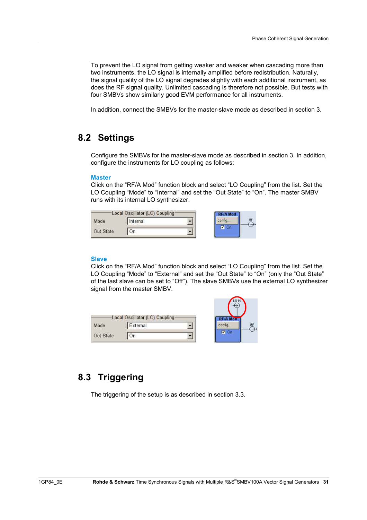To prevent the LO signal from getting weaker and weaker when cascading more than two instruments, the LO signal is internally amplified before redistribution. Naturally, the signal quality of the LO signal degrades slightly with each additional instrument, as does the RF signal quality. Unlimited cascading is therefore not possible. But tests with four SMBVs show similarly good EVM performance for all instruments.

In addition, connect the SMBVs for the master-slave mode as described in section 3.

### **8.2 Settings**

Configure the SMBVs for the master-slave mode as described in section 3. In addition, configure the instruments for LO coupling as follows:

### **Master**

Click on the "RF/A Mod" function block and select "LO Coupling" from the list. Set the LO Coupling "Mode" to "Internal" and set the "Out State" to "On". The master SMBV runs with its internal LO synthesizer.

| Local Oscillator (LO) Coupling- |          |  |  |
|---------------------------------|----------|--|--|
| Mode                            | Internal |  |  |
| Out State                       |          |  |  |

#### **Slave**

Click on the "RF/A Mod" function block and select "LO Coupling" from the list. Set the LO Coupling "Mode" to "External" and set the "Out State" to "On" (only the "Out State" of the last slave can be set to "Off"). The slave SMBVs use the external LO synthesizer signal from the master SMBV.

| Mode      | Local Oscillator (LO) Coupling-<br>External |  |
|-----------|---------------------------------------------|--|
| Out State |                                             |  |

## **8.3 Triggering**

The triggering of the setup is as described in section 3.3.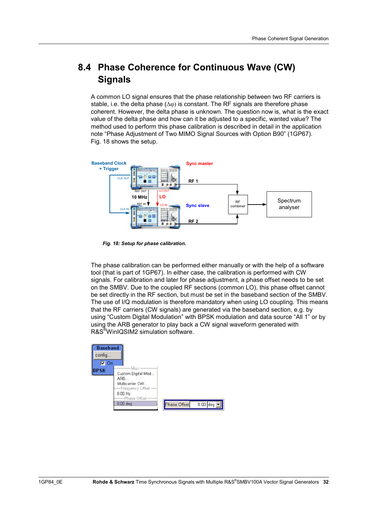## **8.4 Phase Coherence for Continuous Wave (CW) Signals**

A common LO signal ensures that the phase relationship between two RF carriers is stable, i.e. the delta phase  $(\Delta \varphi)$  is constant. The RF signals are therefore phase coherent. However, the delta phase is unknown. The question now is, what is the exact value of the delta phase and how can it be adjusted to a specific, wanted value? The method used to perform this phase calibration is described in detail in the application note "Phase Adjustment of Two MIMO Signal Sources with Option B90" (1GP67). Fig. 18 shows the setup.



*Fig. 18: Setup for phase calibration.* 

The phase calibration can be performed either manually or with the help of a software tool (that is part of 1GP67). In either case, the calibration is performed with CW signals. For calibration and later for phase adjustment, a phase offset needs to be set on the SMBV. Due to the coupled RF sections (common LO), this phase offset cannot be set directly in the RF section, but must be set in the baseband section of the SMBV. The use of I/Q modulation is therefore mandatory when using LO coupling. This means that the RF carriers (CW signals) are generated via the baseband section, e.g. by using "Custom Digital Modulation" with BPSK modulation and data source "All 1" or by using the ARB generator to play back a CW signal waveform generated with R&S® WinIQSIM2 simulation software.

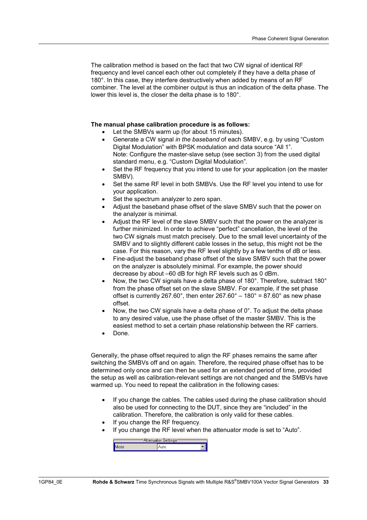The calibration method is based on the fact that two CW signal of identical RF frequency and level cancel each other out completely if they have a delta phase of 180°. In this case, they interfere destructively when added by means of an RF combiner. The level at the combiner output is thus an indication of the delta phase. The lower this level is, the closer the delta phase is to 180°.

### **The manual phase calibration procedure is as follows:**

- Let the SMBVs warm up (for about 15 minutes).
- Generate a CW signal *in the baseband* of each SMBV, e.g. by using "Custom Digital Modulation" with BPSK modulation and data source "All 1". Note: Configure the master-slave setup (see section 3) from the used digital standard menu, e.g. "Custom Digital Modulation".
- Set the RF frequency that you intend to use for your application (on the master SMBV).
- Set the same RF level in both SMBVs. Use the RF level you intend to use for your application.
- Set the spectrum analyzer to zero span.
- Adjust the baseband phase offset of the slave SMBV such that the power on the analyzer is minimal.
- Adjust the RF level of the slave SMBV such that the power on the analyzer is further minimized. In order to achieve "perfect" cancellation, the level of the two CW signals must match precisely. Due to the small level uncertainty of the SMBV and to slightly different cable losses in the setup, this might not be the case. For this reason, vary the RF level slightly by a few tenths of dB or less.
- Fine-adjust the baseband phase offset of the slave SMBV such that the power on the analyzer is absolutely minimal. For example, the power should decrease by about –60 dB for high RF levels such as 0 dBm.
- Now, the two CW signals have a delta phase of 180°. Therefore, subtract 180° from the phase offset set on the slave SMBV. For example, if the set phase offset is currently 267.60°, then enter  $267.60^\circ - 180^\circ = 87.60^\circ$  as new phase offset.
- Now, the two CW signals have a delta phase of 0°. To adjust the delta phase to any desired value, use the phase offset of the master SMBV. This is the easiest method to set a certain phase relationship between the RF carriers.
- Done.

Generally, the phase offset required to align the RF phases remains the same after switching the SMBVs off and on again. Therefore, the required phase offset has to be determined only once and can then be used for an extended period of time, provided the setup as well as calibration-relevant settings are not changed and the SMBVs have warmed up. You need to repeat the calibration in the following cases:

- If you change the cables. The cables used during the phase calibration should also be used for connecting to the DUT, since they are "included" in the calibration. Therefore, the calibration is only valid for these cables.
- If you change the RF frequency.
- If you change the RF level when the attenuator mode is set to "Auto".

| Attenuator Settings |  |  |
|---------------------|--|--|
| Mode                |  |  |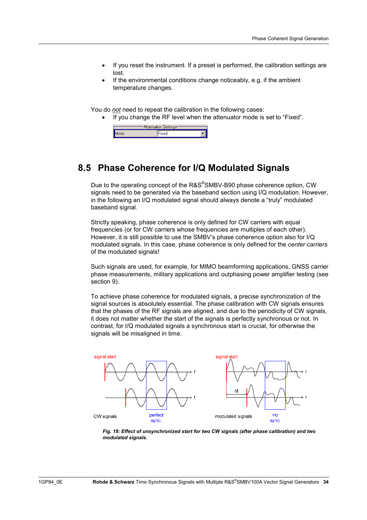- If you reset the instrument. If a preset is performed, the calibration settings are lost.
- If the environmental conditions change noticeably, e.g. if the ambient temperature changes.

You do *not* need to repeat the calibration in the following cases:

• If you change the RF level when the attenuator mode is set to "Fixed".



### **8.5 Phase Coherence for I/Q Modulated Signals**

Due to the operating concept of the R&S®SMBV-B90 phase coherence option, CW signals need to be generated via the baseband section using I/Q modulation. However, in the following an I/Q modulated signal should always denote a "truly" modulated baseband signal.

Strictly speaking, phase coherence is only defined for CW carriers with equal frequencies (or for CW carriers whose frequencies are multiples of each other). However, it is still possible to use the SMBV's phase coherence option also for I/Q modulated signals. In this case, phase coherence is only defined for the *center carriers* of the modulated signals!

Such signals are used, for example, for MIMO beamforming applications, GNSS carrier phase measurements, military applications and outphasing power amplifier testing (see section 9).

To achieve phase coherence for modulated signals, a precise synchronization of the signal sources is absolutely essential. The phase calibration with CW signals ensures that the phases of the RF signals are aligned, and due to the periodicity of CW signals, it does not matter whether the start of the signals is perfectly synchronous or not. In contrast, for I/Q modulated signals a synchronous start is crucial, for otherwise the signals will be misaligned in time.



*Fig. 19: Effect of unsynchronized start for two CW signals (after phase calibration) and two modulated signals.*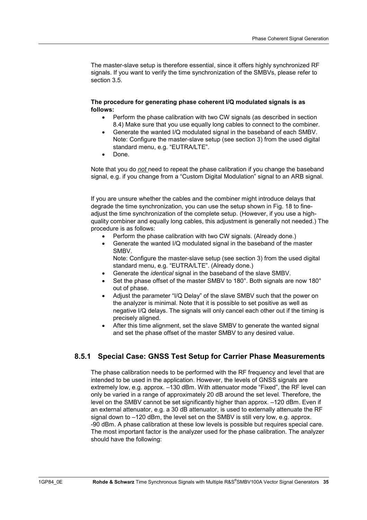The master-slave setup is therefore essential, since it offers highly synchronized RF signals. If you want to verify the time synchronization of the SMBVs, please refer to section 3.5.

### **The procedure for generating phase coherent I/Q modulated signals is as follows:**

- Perform the phase calibration with two CW signals (as described in section 8.4) Make sure that you use equally long cables to connect to the combiner.
- Generate the wanted I/Q modulated signal in the baseband of each SMBV. Note: Configure the master-slave setup (see section 3) from the used digital standard menu, e.g. "EUTRA/LTE".
- Done.

Note that you do *not* need to repeat the phase calibration if you change the baseband signal, e.g. if you change from a "Custom Digital Modulation" signal to an ARB signal.

If you are unsure whether the cables and the combiner might introduce delays that degrade the time synchronization, you can use the setup shown in Fig. 18 to fineadjust the time synchronization of the complete setup. (However, if you use a highquality combiner and equally long cables, this adjustment is generally not needed.) The procedure is as follows:

- Perform the phase calibration with two CW signals. (Already done.)
- Generate the wanted I/Q modulated signal in the baseband of the master SMBV.

Note: Configure the master-slave setup (see section 3) from the used digital standard menu, e.g. "EUTRA/LTE". (Already done.)

- Generate the *identical* signal in the baseband of the slave SMBV.
- Set the phase offset of the master SMBV to 180°. Both signals are now 180° out of phase.
- Adjust the parameter "I/Q Delay" of the slave SMBV such that the power on the analyzer is minimal. Note that it is possible to set positive as well as negative I/Q delays. The signals will only cancel each other out if the timing is precisely aligned.
- After this time alignment, set the slave SMBV to generate the wanted signal and set the phase offset of the master SMBV to any desired value.

### **8.5.1 Special Case: GNSS Test Setup for Carrier Phase Measurements**

The phase calibration needs to be performed with the RF frequency and level that are intended to be used in the application. However, the levels of GNSS signals are extremely low, e.g. approx. –130 dBm. With attenuator mode "Fixed", the RF level can only be varied in a range of approximately 20 dB around the set level. Therefore, the level on the SMBV cannot be set significantly higher than approx. –120 dBm. Even if an external attenuator, e.g. a 30 dB attenuator, is used to externally attenuate the RF signal down to –120 dBm, the level set on the SMBV is still very low, e.g. approx. -90 dBm. A phase calibration at these low levels is possible but requires special care. The most important factor is the analyzer used for the phase calibration. The analyzer should have the following: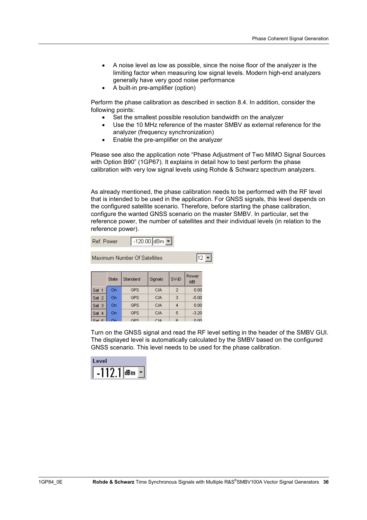- A noise level as low as possible, since the noise floor of the analyzer is the limiting factor when measuring low signal levels. Modern high-end analyzers generally have very good noise performance
- A built-in pre-amplifier (option)

Perform the phase calibration as described in section 8.4. In addition, consider the following points:

- Set the smallest possible resolution bandwidth on the analyzer
- Use the 10 MHz reference of the master SMBV as external reference for the analyzer (frequency synchronization)
- Enable the pre-amplifier on the analyzer

Please see also the application note "Phase Adjustment of Two MIMO Signal Sources with Option B90" (1GP67). It explains in detail how to best perform the phase calibration with very low signal levels using Rohde & Schwarz spectrum analyzers.

As already mentioned, the phase calibration needs to be performed with the RF level that is intended to be used in the application. For GNSS signals, this level depends on the configured satellite scenario. Therefore, before starting the phase calibration, configure the wanted GNSS scenario on the master SMBV. In particular, set the reference power, the number of satellites and their individual levels (in relation to the reference power).

| lef Power | אחם חליו ו | ⊶uldBm ly P |  |
|-----------|------------|-------------|--|
|           |            |             |  |
|           |            |             |  |

| Maximum Number Of Satellites |       |            |         |       |              | 12 |
|------------------------------|-------|------------|---------|-------|--------------|----|
|                              | State | Standard   | Signals | SV-ID | Power<br>/dB |    |
| Sat 1                        | On    | <b>GPS</b> | C/A     | 2     | 0.00         |    |
| Sat 2                        | On    | <b>GPS</b> | C/A     | 3     | $-5.00$      |    |
| Sat 3                        | On    | <b>GPS</b> | C/A     | 4     | 0.00         |    |
| Sat 4                        | On    | <b>GPS</b> | C/A     | 5     | $-3.20$      |    |
|                              | റപ    | GPS.       | C18     | в     | n nn         |    |

Turn on the GNSS signal and read the RF level setting in the header of the SMBV GUI. The displayed level is automatically calculated by the SMBV based on the configured GNSS scenario. This level needs to be used for the phase calibration.

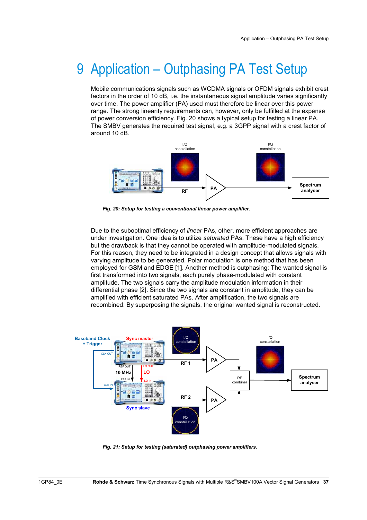# 9 Application – Outphasing PA Test Setup

Mobile communications signals such as WCDMA signals or OFDM signals exhibit crest factors in the order of 10 dB, i.e. the instantaneous signal amplitude varies significantly over time. The power amplifier (PA) used must therefore be linear over this power range. The strong linearity requirements can, however, only be fulfilled at the expense of power conversion efficiency. Fig. 20 shows a typical setup for testing a linear PA. The SMBV generates the required test signal, e.g. a 3GPP signal with a crest factor of around 10 dB.



*Fig. 20: Setup for testing a conventional linear power amplifier.* 

Due to the suboptimal efficiency of *linear* PAs, other, more efficient approaches are under investigation. One idea is to utilize *saturated* PAs. These have a high efficiency but the drawback is that they cannot be operated with amplitude-modulated signals. For this reason, they need to be integrated in a design concept that allows signals with varying amplitude to be generated. Polar modulation is one method that has been employed for GSM and EDGE [1]. Another method is outphasing: The wanted signal is first transformed into two signals, each purely phase-modulated with constant amplitude. The two signals carry the amplitude modulation information in their differential phase [2]. Since the two signals are constant in amplitude, they can be amplified with efficient saturated PAs. After amplification, the two signals are recombined. By superposing the signals, the original wanted signal is reconstructed.



*Fig. 21: Setup for testing (saturated) outphasing power amplifiers.*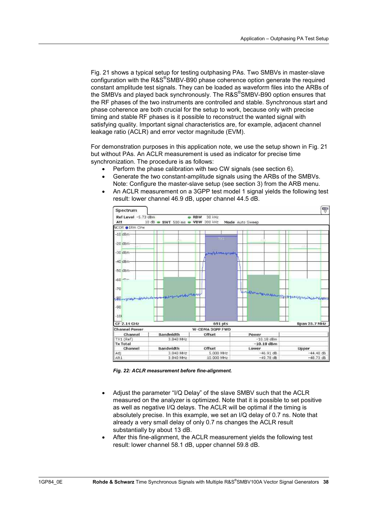Fig. 21 shows a typical setup for testing outphasing PAs. Two SMBVs in master-slave configuration with the R&S®SMBV-B90 phase coherence option generate the required constant amplitude test signals. They can be loaded as waveform files into the ARBs of the SMBVs and played back synchronously. The R&S®SMBV-B90 option ensures that the RF phases of the two instruments are controlled and stable. Synchronous start and phase coherence are both crucial for the setup to work, because only with precise timing and stable RF phases is it possible to reconstruct the wanted signal with satisfying quality. Important signal characteristics are, for example, adjacent channel leakage ratio (ACLR) and error vector magnitude (EVM).

For demonstration purposes in this application note, we use the setup shown in Fig. 21 but without PAs. An ACLR measurement is used as indicator for precise time synchronization. The procedure is as follows:

- Perform the phase calibration with two CW signals (see section 6).
- Generate the two constant-amplitude signals using the ARBs of the SMBVs. Note: Configure the master-slave setup (see section 3) from the ARB menu.
- An ACLR measurement on a 3GPP test model 1 signal yields the following test result: lower channel 46.9 dB, upper channel 44.5 dB.



*Fig. 22: ACLR measurement before fine-alignment.* 

- Adjust the parameter "I/Q Delay" of the slave SMBV such that the ACLR measured on the analyzer is optimized. Note that it is possible to set positive as well as negative I/Q delays. The ACLR will be optimal if the timing is absolutely precise. In this example, we set an I/Q delay of 0.7 ns. Note that already a very small delay of only 0.7 ns changes the ACLR result substantially by about 13 dB.
- After this fine-alignment, the ACLR measurement yields the following test result: lower channel 58.1 dB, upper channel 59.8 dB.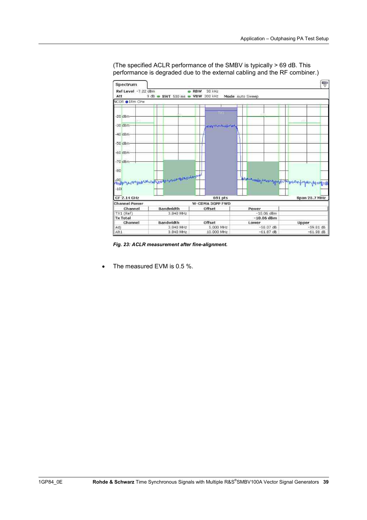

(The specified ACLR performance of the SMBV is typically > 69 dB. This performance is degraded due to the external cabling and the RF combiner.)

*Fig. 23: ACLR measurement after fine-alignment.* 

The measured EVM is 0.5 %.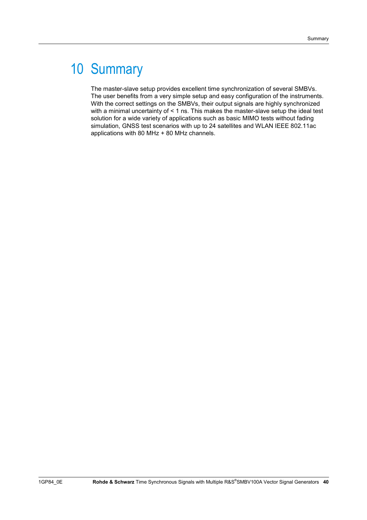# 10 Summary

The master-slave setup provides excellent time synchronization of several SMBVs. The user benefits from a very simple setup and easy configuration of the instruments. With the correct settings on the SMBVs, their output signals are highly synchronized with a minimal uncertainty of < 1 ns. This makes the master-slave setup the ideal test solution for a wide variety of applications such as basic MIMO tests without fading simulation, GNSS test scenarios with up to 24 satellites and WLAN IEEE 802.11ac applications with 80 MHz + 80 MHz channels.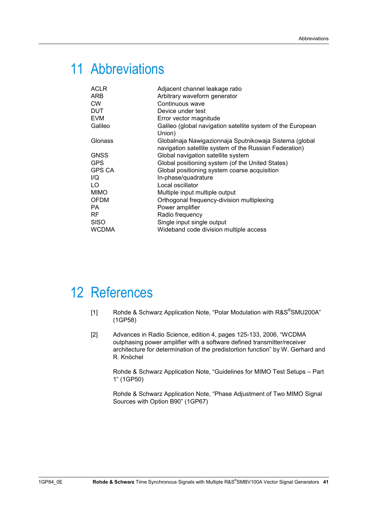# 11 Abbreviations

| <b>ACLR</b>   | Adjacent channel leakage ratio                                                                                   |
|---------------|------------------------------------------------------------------------------------------------------------------|
| ARB           | Arbitrary waveform generator                                                                                     |
| <b>CW</b>     | Continuous wave                                                                                                  |
| <b>DUT</b>    | Device under test                                                                                                |
| <b>EVM</b>    | Error vector magnitude                                                                                           |
| Galileo       | Galileo (global navigation satellite system of the European<br>Union)                                            |
| Glonass       | Globalnaja Nawigazionnaja Sputnikowaja Sistema (global<br>navigation satellite system of the Russian Federation) |
| <b>GNSS</b>   | Global navigation satellite system                                                                               |
| <b>GPS</b>    | Global positioning system (of the United States)                                                                 |
| <b>GPS CA</b> | Global positioning system coarse acquisition                                                                     |
| I/Q           | In-phase/quadrature                                                                                              |
| LO.           | Local oscillator                                                                                                 |
| <b>MIMO</b>   | Multiple input multiple output                                                                                   |
| <b>OFDM</b>   | Orthogonal frequency-division multiplexing                                                                       |
| PA.           | Power amplifier                                                                                                  |
| RF            | Radio frequency                                                                                                  |
| <b>SISO</b>   | Single input single output                                                                                       |
| <b>WCDMA</b>  | Wideband code division multiple access                                                                           |

## 12 References

- [1] Rohde & Schwarz Application Note, "Polar Modulation with R&S<sup>®</sup>SMU200A" (1GP58)
- [2] Advances in Radio Science, edition 4, pages 125-133, 2006, "WCDMA outphasing power amplifier with a software defined transmitter/receiver architecture for determination of the predistortion function" by W. Gerhard and R. Knöchel

Rohde & Schwarz Application Note, "Guidelines for MIMO Test Setups – Part 1" (1GP50)

Rohde & Schwarz Application Note, "Phase Adjustment of Two MIMO Signal Sources with Option B90" (1GP67)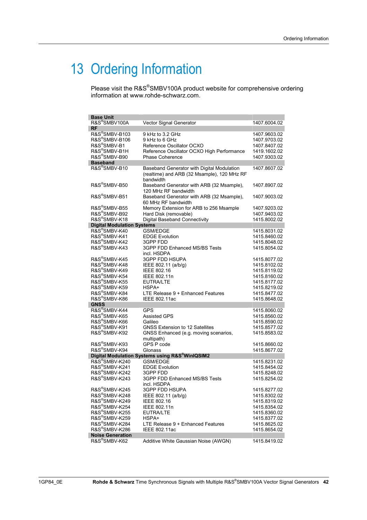# 13 Ordering Information

Please visit the R&S<sup>®</sup>SMBV100A product website for comprehensive ordering information at www.rohde-schwarz.com.

| <b>Base Unit</b>                  |                                                                                                        |              |
|-----------------------------------|--------------------------------------------------------------------------------------------------------|--------------|
| R&S <sup>®</sup> SMBV100A         | Vector Signal Generator                                                                                | 1407.6004.02 |
| <b>RF</b>                         |                                                                                                        |              |
| R&S®SMBV-B103                     | 9 kHz to 3.2 GHz                                                                                       | 1407.9603.02 |
| R&S®SMBV-B106                     | 9 kHz to 6 GHz                                                                                         | 1407.9703.02 |
| R&S®SMBV-B1                       | Reference Oscillator OCXO                                                                              | 1407.8407.02 |
| R&S®SMBV-B1H                      | Reference Oscillator OCXO High Performance                                                             | 1419.1602.02 |
| R&S®SMBV-B90                      | <b>Phase Coherence</b>                                                                                 | 1407.9303.02 |
| <b>Baseband</b>                   |                                                                                                        |              |
| R&S <sup>®</sup> SMBV-B10         |                                                                                                        | 1407.8607.02 |
|                                   | Baseband Generator with Digital Modulation<br>(realtime) and ARB (32 Msample), 120 MHz RF<br>bandwidth |              |
| R&S®SMBV-B50                      | Baseband Generator with ARB (32 Msample),<br>120 MHz RF bandwidth                                      | 1407.8907.02 |
| R&S <sup>®</sup> SMBV-B51         | Baseband Generator with ARB (32 Msample),<br>60 MHz RF bandwidth                                       | 1407.9003.02 |
| R&S <sup>®</sup> SMBV-B55         | Memory Extension for ARB to 256 Msample                                                                | 1407.9203.02 |
| R&S®SMBV-B92                      | Hard Disk (removable)                                                                                  | 1407.9403.02 |
| R&S <sup>®</sup> SMBV-K18         | Digital Baseband Connectivity                                                                          | 1415.8002.02 |
| <b>Digital Modulation Systems</b> |                                                                                                        |              |
| R&S <sup>®</sup> SMBV-K40         | <b>GSM/EDGE</b>                                                                                        | 1415.8031.02 |
| R&S®SMBV-K41                      | <b>EDGE Evolution</b>                                                                                  | 1415.8460.02 |
| R&S®SMBV-K42                      | 3GPP FDD                                                                                               | 1415.8048.02 |
| R&S®SMBV-K43                      | 3GPP FDD Enhanced MS/BS Tests                                                                          | 1415.8054.02 |
|                                   | incl. HSDPA                                                                                            |              |
| R&S®SMBV-K45                      | <b>3GPP FDD HSUPA</b>                                                                                  | 1415.8077.02 |
| R&S®SMBV-K48                      | IEEE 802.11 (a/b/g)                                                                                    | 1415.8102.02 |
| R&S®SMBV-K49                      | IEEE 802.16                                                                                            | 1415.8119.02 |
| R&S <sup>®</sup> SMBV-K54         | IEEE 802.11n                                                                                           | 1415.8160.02 |
| R&S®SMBV-K55                      | <b>EUTRA/LTE</b>                                                                                       | 1415.8177.02 |
| R&S®SMBV-K59                      | HSPA+                                                                                                  | 1415.8219.02 |
| R&S®SMBV-K84                      | LTE Release 9 + Enhanced Features                                                                      | 1415.8477.02 |
| R&S®SMBV-K86                      | IEEE 802.11ac                                                                                          | 1415.8648.02 |
| <b>GNSS</b>                       |                                                                                                        |              |
| R&S®SMBV-K44                      | <b>GPS</b>                                                                                             | 1415.8060.02 |
| R&S®SMBV-K65                      | <b>Assisted GPS</b>                                                                                    | 1415.8560.02 |
| R&S <sup>®</sup> SMBV-K66         | Galileo                                                                                                | 1415.8590.02 |
| R&S®SMBV-K91                      | <b>GNSS Extension to 12 Satellites</b>                                                                 | 1415.8577.02 |
| R&S®SMBV-K92                      | GNSS Enhanced (e.g. moving scenarios,                                                                  | 1415.8583.02 |
|                                   |                                                                                                        |              |
| R&S®SMBV-K93                      | multipath)<br>GPS P code                                                                               |              |
| R&S®SMBV-K94                      |                                                                                                        | 1415.8660.02 |
|                                   | Glonass<br>Digital Modulation Systems using R&S®WinlQSIM2                                              | 1415.8677.02 |
| R&S®SMBV-K240                     | <b>GSM/EDGE</b>                                                                                        |              |
| R&S <sup>®</sup> SMBV-K241        | <b>EDGE Evolution</b>                                                                                  | 1415.8231.02 |
| R&S®SMBV-K242                     |                                                                                                        | 1415.8454.02 |
| R&S®SMBV-K243                     | 3GPP FDD                                                                                               | 1415.8248.02 |
|                                   | 3GPP FDD Enhanced MS/BS Tests<br>incl. HSDPA                                                           | 1415.8254.02 |
| R&S®SMBV-K245                     | <b>3GPP FDD HSUPA</b>                                                                                  | 1415.8277.02 |
| R&S®SMBV-K248                     | IEEE 802.11 (a/b/g)                                                                                    | 1415.8302.02 |
| R&S®SMBV-K249                     | IEEE 802.16                                                                                            | 1415.8319.02 |
| R&S®SMBV-K254                     | IEEE 802.11n                                                                                           | 1415.8354.02 |
| R&S®SMBV-K255                     | <b>EUTRA/LTE</b>                                                                                       | 1415.8360.02 |
| R&S®SMBV-K259                     | HSPA+                                                                                                  | 1415.8377.02 |
| R&S®SMBV-K284                     | LTE Release 9 + Enhanced Features                                                                      | 1415.8625.02 |
| R&S®SMBV-K286                     | IEEE 802.11ac                                                                                          | 1415.8654.02 |
| <b>Noise Generation</b>           |                                                                                                        |              |
| R&S®SMBV-K62                      | Additive White Gaussian Noise (AWGN)                                                                   | 1415.8419.02 |